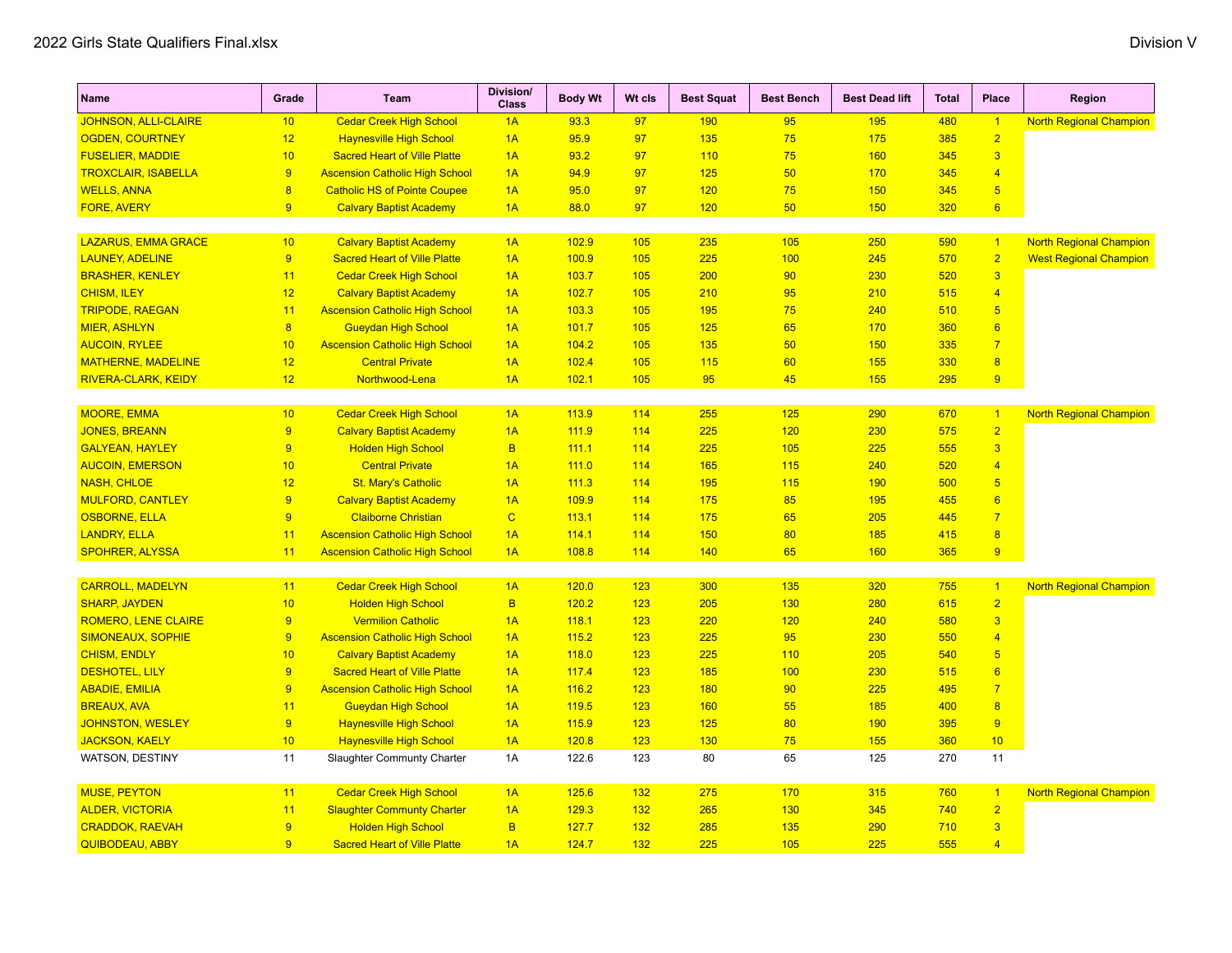| <b>Name</b>                 | Grade                   | <b>Team</b>                           | <b>Division/</b><br><b>Class</b> | <b>Body Wt</b> | Wt cls | <b>Best Squat</b> | <b>Best Bench</b> | <b>Best Dead lift</b> | <b>Total</b> | <b>Place</b>            | Region                         |
|-----------------------------|-------------------------|---------------------------------------|----------------------------------|----------------|--------|-------------------|-------------------|-----------------------|--------------|-------------------------|--------------------------------|
| <b>JOHNSON, ALLI-CLAIRE</b> | 10                      | <b>Cedar Creek High School</b>        | 1A                               | 93.3           | 97     | 190               | 95                | 195                   | 480          | $\vert$ 1               | <b>North Regional Champion</b> |
| <b>OGDEN, COURTNEY</b>      | 12                      | <b>Haynesville High School</b>        | 1A                               | 95.9           | 97     | 135               | 75                | 175                   | 385          | $\overline{2}$          |                                |
| <b>FUSELIER, MADDIE</b>     | 10                      | <b>Sacred Heart of Ville Platte</b>   | 1A                               | 93.2           | 97     | 110               | 75                | 160                   | 345          | $\overline{3}$          |                                |
| <b>TROXCLAIR, ISABELLA</b>  | 9                       | <b>Ascension Catholic High School</b> | 1A                               | 94.9           | 97     | 125               | 50                | 170                   | 345          | $\overline{4}$          |                                |
| <b>WELLS, ANNA</b>          | $\overline{\mathbf{8}}$ | <b>Catholic HS of Pointe Coupee</b>   | 1A                               | 95.0           | 97     | 120               | 75                | 150                   | 345          | $\overline{5}$          |                                |
| <b>FORE, AVERY</b>          | 9                       | <b>Calvary Baptist Academy</b>        | 1A                               | 88.0           | 97     | 120               | 50                | 150                   | 320          | $6\overline{}$          |                                |
|                             |                         |                                       |                                  |                |        |                   |                   |                       |              |                         |                                |
| <b>LAZARUS, EMMA GRACE</b>  | 10                      | <b>Calvary Baptist Academy</b>        | 1A                               | 102.9          | 105    | 235               | 105               | 250                   | 590          | $\vert$ 1               | <b>North Regional Champion</b> |
| <b>LAUNEY, ADELINE</b>      | 9                       | <b>Sacred Heart of Ville Platte</b>   | 1A                               | 100.9          | 105    | 225               | 100               | 245                   | 570          | $\overline{2}$          | <b>West Regional Champion</b>  |
| <b>BRASHER, KENLEY</b>      | 11                      | <b>Cedar Creek High School</b>        | 1A                               | 103.7          | 105    | 200               | 90                | 230                   | 520          | $\overline{3}$          |                                |
| <b>CHISM, ILEY</b>          | 12                      | <b>Calvary Baptist Academy</b>        | 1A                               | 102.7          | 105    | 210               | 95                | 210                   | 515          | $\overline{4}$          |                                |
| <b>TRIPODE, RAEGAN</b>      | 11                      | <b>Ascension Catholic High School</b> | 1A                               | 103.3          | 105    | 195               | 75                | 240                   | 510          | $\overline{5}$          |                                |
| <b>MIER, ASHLYN</b>         | $\overline{8}$          | <b>Gueydan High School</b>            | 1A                               | 101.7          | 105    | 125               | 65                | 170                   | 360          | $6\overline{}$          |                                |
| <b>AUCOIN, RYLEE</b>        | 10                      | <b>Ascension Catholic High School</b> | 1A                               | 104.2          | 105    | 135               | 50                | 150                   | 335          | $\overline{7}$          |                                |
| <b>MATHERNE, MADELINE</b>   | 12                      | <b>Central Private</b>                | 1A                               | 102.4          | 105    | 115               | 60                | 155                   | 330          | $\overline{\mathbf{8}}$ |                                |
| RIVERA-CLARK, KEIDY         | 12                      | Northwood-Lena                        | 1A                               | 102.1          | 105    | 95                | 45                | 155                   | 295          | 9                       |                                |
|                             |                         |                                       |                                  |                |        |                   |                   |                       |              |                         |                                |
| <b>MOORE, EMMA</b>          | 10                      | <b>Cedar Creek High School</b>        | 1A                               | 113.9          | 114    | 255               | 125               | 290                   | 670          | $\overline{1}$          | <b>North Regional Champion</b> |
| <b>JONES, BREANN</b>        | $\overline{9}$          | <b>Calvary Baptist Academy</b>        | 1A                               | 111.9          | 114    | 225               | 120               | 230                   | 575          | $\overline{2}$          |                                |
| <b>GALYEAN, HAYLEY</b>      | 9                       | <b>Holden High School</b>             | B                                | 111.1          | 114    | 225               | 105               | 225                   | 555          | $\overline{3}$          |                                |
| <b>AUCOIN, EMERSON</b>      | 10                      | <b>Central Private</b>                | 1A                               | 111.0          | 114    | 165               | 115               | 240                   | 520          | $\overline{4}$          |                                |
| <b>NASH, CHLOE</b>          | 12                      | <b>St. Mary's Catholic</b>            | 1A                               | 111.3          | 114    | 195               | 115               | 190                   | 500          | $\overline{5}$          |                                |
| <b>MULFORD, CANTLEY</b>     | 9                       | <b>Calvary Baptist Academy</b>        | 1A                               | 109.9          | 114    | 175               | 85                | 195                   | 455          | 6                       |                                |
| <b>OSBORNE, ELLA</b>        | 9                       | <b>Claiborne Christian</b>            | $\mathbf C$                      | 113.1          | 114    | 175               | 65                | 205                   | 445          | $\overline{7}$          |                                |
| <b>LANDRY, ELLA</b>         | 11                      | <b>Ascension Catholic High School</b> | 1A                               | 114.1          | 114    | 150               | 80                | 185                   | 415          | $\overline{8}$          |                                |
| <b>SPOHRER, ALYSSA</b>      | 11                      | <b>Ascension Catholic High School</b> | 1A                               | 108.8          | 114    | 140               | 65                | 160                   | 365          | 9                       |                                |
|                             |                         |                                       |                                  |                |        |                   |                   |                       |              |                         |                                |
| <b>CARROLL, MADELYN</b>     | 11                      | <b>Cedar Creek High School</b>        | 1A                               | 120.0          | 123    | 300               | 135               | 320                   | 755          | $\vert$ 1               | <b>North Regional Champion</b> |
| <b>SHARP, JAYDEN</b>        | 10                      | <b>Holden High School</b>             | $\overline{B}$                   | 120.2          | 123    | 205               | 130               | 280                   | 615          | $\overline{2}$          |                                |
| <b>ROMERO, LENE CLAIRE</b>  | 9                       | <b>Vermilion Catholic</b>             | 1A                               | 118.1          | 123    | 220               | 120               | 240                   | 580          | $\overline{3}$          |                                |
| <b>SIMONEAUX, SOPHIE</b>    | 9                       | <b>Ascension Catholic High School</b> | 1A                               | 115.2          | 123    | 225               | 95                | 230                   | 550          | $\overline{4}$          |                                |
| <b>CHISM, ENDLY</b>         | 10                      | <b>Calvary Baptist Academy</b>        | 1A                               | 118.0          | 123    | 225               | 110               | 205                   | 540          | 5                       |                                |
| <b>DESHOTEL, LILY</b>       | 9                       | <b>Sacred Heart of Ville Platte</b>   | 1A                               | 117.4          | 123    | 185               | 100               | 230                   | 515          | $6\overline{6}$         |                                |
| <b>ABADIE, EMILIA</b>       | 9                       | <b>Ascension Catholic High School</b> | 1A                               | 116.2          | 123    | 180               | 90                | 225                   | 495          | $\overline{7}$          |                                |
| <b>BREAUX, AVA</b>          | 11                      | <b>Gueydan High School</b>            | 1A                               | 119.5          | 123    | 160               | 55                | 185                   | 400          | $\overline{8}$          |                                |
| <b>JOHNSTON, WESLEY</b>     | 9                       | <b>Haynesville High School</b>        | 1A                               | 115.9          | 123    | 125               | 80                | 190                   | 395          | 9                       |                                |
| <b>JACKSON, KAELY</b>       | 10                      | <b>Haynesville High School</b>        | 1A                               | 120.8          | 123    | 130               | 75                | 155                   | 360          | 10                      |                                |
| WATSON, DESTINY             | 11                      | Slaughter Communty Charter            | 1A                               | 122.6          | 123    | 80                | 65                | 125                   | 270          | 11                      |                                |
|                             |                         |                                       |                                  |                |        |                   |                   |                       |              |                         |                                |
| <b>MUSE, PEYTON</b>         | 11                      | <b>Cedar Creek High School</b>        | 1A                               | 125.6          | 132    | 275               | 170               | 315                   | 760          | $\overline{1}$          | <b>North Regional Champion</b> |
| <b>ALDER, VICTORIA</b>      | 11                      | <b>Slaughter Communty Charter</b>     | 1A                               | 129.3          | 132    | 265               | 130               | 345                   | 740          | $\overline{2}$          |                                |
| <b>CRADDOK, RAEVAH</b>      | 9                       | <b>Holden High School</b>             | B                                | 127.7          | 132    | 285               | 135               | 290                   | 710          | $\overline{3}$          |                                |
| <b>QUIBODEAU, ABBY</b>      | $\overline{9}$          | <b>Sacred Heart of Ville Platte</b>   | 1A                               | 124.7          | 132    | 225               | 105               | 225                   | 555          | $\overline{4}$          |                                |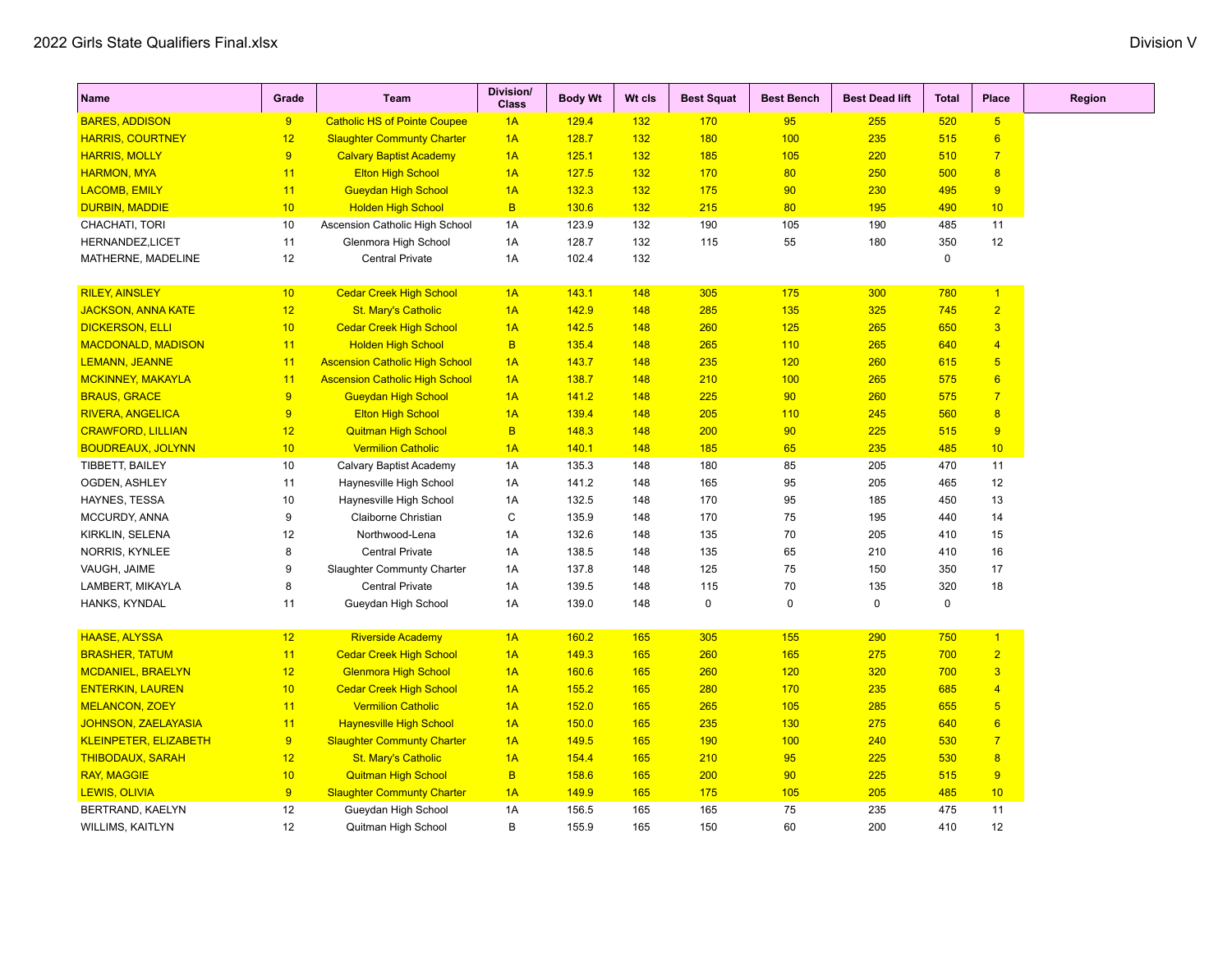| Name                         | Grade | Team                                  | <b>Division/</b><br><b>Class</b> | <b>Body Wt</b> | Wt cls | <b>Best Squat</b> | <b>Best Bench</b> | <b>Best Dead lift</b> | Total       | <b>Place</b>    |
|------------------------------|-------|---------------------------------------|----------------------------------|----------------|--------|-------------------|-------------------|-----------------------|-------------|-----------------|
| <b>BARES, ADDISON</b>        | 9     | <b>Catholic HS of Pointe Coupee</b>   | 1A                               | 129.4          | 132    | 170               | 95                | 255                   | 520         | 5 <sub>5</sub>  |
| <b>HARRIS, COURTNEY</b>      | 12    | <b>Slaughter Communty Charter</b>     | 1A                               | 128.7          | 132    | 180               | 100               | 235                   | 515         | $6\overline{6}$ |
| <b>HARRIS, MOLLY</b>         | 9     | <b>Calvary Baptist Academy</b>        | 1A                               | 125.1          | 132    | 185               | 105               | 220                   | 510         | $\overline{7}$  |
| <b>HARMON, MYA</b>           | 11    | <b>Elton High School</b>              | 1A                               | 127.5          | 132    | 170               | 80                | 250                   | 500         | 8               |
| <b>LACOMB, EMILY</b>         | 11    | <b>Gueydan High School</b>            | 1A                               | 132.3          | 132    | 175               | 90                | 230                   | 495         | 9               |
| <b>DURBIN, MADDIE</b>        | 10    | <b>Holden High School</b>             | B                                | 130.6          | 132    | 215               | 80                | 195                   | 490         | 10              |
| CHACHATI, TORI               | 10    | Ascension Catholic High School        | 1A                               | 123.9          | 132    | 190               | 105               | 190                   | 485         | 11              |
| HERNANDEZ,LICET              | 11    | Glenmora High School                  | 1A                               | 128.7          | 132    | 115               | 55                | 180                   | 350         | 12              |
| MATHERNE, MADELINE           | 12    | Central Private                       | 1A                               | 102.4          | 132    |                   |                   |                       | 0           |                 |
| <b>RILEY, AINSLEY</b>        | 10    | <b>Cedar Creek High School</b>        | 1A                               | 143.1          | 148    | 305               | 175               | 300                   | 780         | $\vert$ 1       |
| <b>JACKSON, ANNA KATE</b>    | 12    | <b>St. Mary's Catholic</b>            | 1A                               | 142.9          | 148    | 285               | 135               | 325                   | 745         | $\overline{2}$  |
| <b>DICKERSON, ELLI</b>       | 10    | <b>Cedar Creek High School</b>        | 1A                               | 142.5          | 148    | 260               | 125               | 265                   | 650         | $\overline{3}$  |
| <b>MACDONALD, MADISON</b>    | 11    | <b>Holden High School</b>             | $\overline{B}$                   | 135.4          | 148    | 265               | 110               | 265                   | 640         | $\overline{4}$  |
| <b>LEMANN, JEANNE</b>        | 11    | <b>Ascension Catholic High School</b> | 1A                               | 143.7          | 148    | 235               | 120               | 260                   | 615         | $5\overline{)}$ |
| <b>MCKINNEY, MAKAYLA</b>     | 11    | <b>Ascension Catholic High School</b> | 1A                               | 138.7          | 148    | 210               | 100               | 265                   | 575         | 6               |
| <b>BRAUS, GRACE</b>          | 9     | <b>Gueydan High School</b>            | 1A                               | 141.2          | 148    | 225               | 90                | 260                   | 575         | $\overline{7}$  |
| <b>RIVERA, ANGELICA</b>      | 9     | <b>Elton High School</b>              | 1A                               | 139.4          | 148    | 205               | 110               | 245                   | 560         | 8               |
| <b>CRAWFORD, LILLIAN</b>     | 12    | <b>Quitman High School</b>            | B                                | 148.3          | 148    | 200               | 90                | 225                   | 515         | 9               |
| <b>BOUDREAUX, JOLYNN</b>     | 10    | <b>Vermilion Catholic</b>             | 1A                               | 140.1          | 148    | 185               | 65                | 235                   | 485         | 10              |
| TIBBETT, BAILEY              | 10    | Calvary Baptist Academy               | 1A                               | 135.3          | 148    | 180               | 85                | 205                   | 470         | 11              |
| OGDEN, ASHLEY                | 11    | Haynesville High School               | 1A                               | 141.2          | 148    | 165               | 95                | 205                   | 465         | 12              |
| HAYNES, TESSA                | 10    | Haynesville High School               | 1A                               | 132.5          | 148    | 170               | 95                | 185                   | 450         | 13              |
| MCCURDY, ANNA                | 9     | Claiborne Christian                   | C                                | 135.9          | 148    | 170               | 75                | 195                   | 440         | 14              |
| KIRKLIN, SELENA              | 12    | Northwood-Lena                        | 1A                               | 132.6          | 148    | 135               | 70                | 205                   | 410         | 15              |
| NORRIS, KYNLEE               | 8     | <b>Central Private</b>                | 1A                               | 138.5          | 148    | 135               | 65                | 210                   | 410         | 16              |
| VAUGH, JAIME                 | 9     | Slaughter Communty Charter            | 1A                               | 137.8          | 148    | 125               | 75                | 150                   | 350         | 17              |
| LAMBERT, MIKAYLA             | 8     | <b>Central Private</b>                | 1A                               | 139.5          | 148    | 115               | 70                | 135                   | 320         | 18              |
| HANKS, KYNDAL                | 11    | Gueydan High School                   | 1A                               | 139.0          | 148    | $\mathbf 0$       | 0                 | $\pmb{0}$             | $\mathsf 0$ |                 |
| <b>HAASE, ALYSSA</b>         | 12    | <b>Riverside Academy</b>              | 1A                               | 160.2          | 165    | 305               | 155               | 290                   | 750         | $\mathbf{1}$    |
| <b>BRASHER, TATUM</b>        | 11    | <b>Cedar Creek High School</b>        | 1A                               | 149.3          | 165    | 260               | 165               | 275                   | 700         | $\overline{2}$  |
| <b>MCDANIEL, BRAELYN</b>     | 12    | <b>Glenmora High School</b>           | 1A                               | 160.6          | 165    | 260               | 120               | 320                   | 700         | $\overline{3}$  |
| <b>ENTERKIN, LAUREN</b>      | 10    | <b>Cedar Creek High School</b>        | 1A                               | 155.2          | 165    | 280               | 170               | 235                   | 685         | $\overline{4}$  |
| <b>MELANCON, ZOEY</b>        | 11    | <b>Vermilion Catholic</b>             | 1A                               | 152.0          | 165    | 265               | 105               | 285                   | 655         | 5 <sup>5</sup>  |
| <b>JOHNSON, ZAELAYASIA</b>   | 11    | <b>Haynesville High School</b>        | 1A                               | 150.0          | 165    | 235               | 130               | 275                   | 640         | 6               |
| <b>KLEINPETER, ELIZABETH</b> | 9     | <b>Slaughter Communty Charter</b>     | 1A                               | 149.5          | 165    | 190               | 100               | 240                   | 530         | $\overline{7}$  |
| <b>THIBODAUX, SARAH</b>      | 12    | <b>St. Mary's Catholic</b>            | 1A                               | 154.4          | 165    | 210               | 95                | 225                   | 530         | $\overline{8}$  |
| <b>RAY, MAGGIE</b>           | 10    | <b>Quitman High School</b>            | B                                | 158.6          | 165    | 200               | 90                | 225                   | 515         | 9               |
| <b>LEWIS, OLIVIA</b>         | 9     | <b>Slaughter Communty Charter</b>     | 1A                               | 149.9          | 165    | 175               | 105               | 205                   | 485         | 10              |
| BERTRAND, KAELYN             | 12    | Gueydan High School                   | 1A                               | 156.5          | 165    | 165               | 75                | 235                   | 475         | 11              |
| WILLIMS, KAITLYN             | 12    | Quitman High School                   | B                                | 155.9          | 165    | 150               | 60                | 200                   | 410         | 12              |